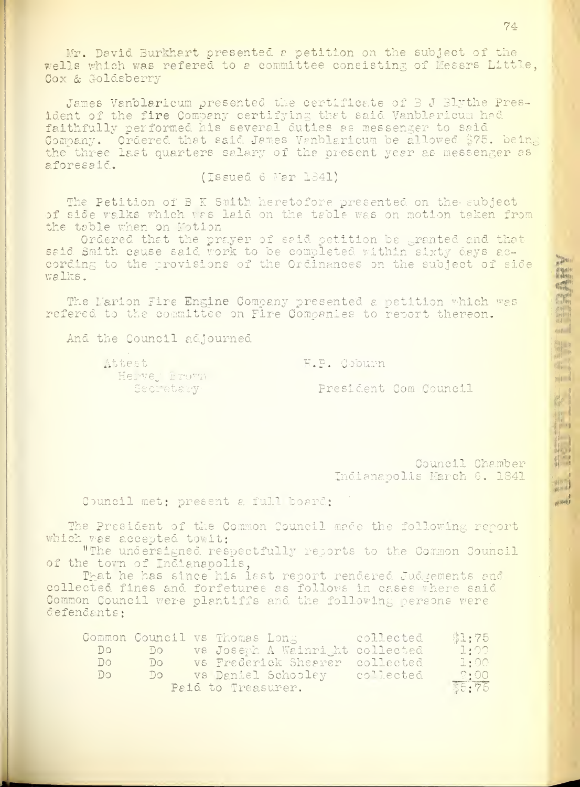Halis Company of the Company of the Company of the Company of the Company of the Company of the Company of the Company of the Company of the Company of the Company of the Company of the Company of the Company of the Compan

itik<br>in the first first first first first first first first first first first first first first first first first f

 $m - 1$ 

.III! I' **Illegally** 

Mr. David Burkhart presented a petition on the subject of the wells which was refered to a committee consisting of Messrs Little, Cox & Goldsberry

James Vahblaricum presented the certificate of 8 J Blythe President of the fire Company certifying that said Vanblaricum had faithfully performed his several duties as messenger to said Company. Ordered that said James Vanblaricum be allowed \$75. being, the three last quarters salary of the present year as messenger as aforesaid.

## (Issued <sup>6</sup> Mar 1341)

The Petition of B K Smith heretofore presented on the subject of side walks which was laid on the table was on motion taken from the table when on Motion

Ordered that the prayer of said petition be granted and that said Smith cause said work to be completed within sixty days according to the provisions of the Ordinances on the subject of side walks.

The Marion Fire Engine Company presented a petition which was refered to the committee on Fire Companies to report thereon.

And the Council adjourned

Attest (1999) Attest (1999) Attest (1999) Attest (1999) Attest (1999) Attest (1999) Attest (1999) Attest (1999) Attest (1999) Attest (1999) Attest (1999) Attest (1999) Attest (1999) Attest (1999) Attest (1999) Attest (1999 Herve, Frown Secretary

President Com Council

Council Chamber Indianapolis March 6. 1841

Council met: present a full board;

The President of the Common Council made the following report which was accepted towit:

"The undersigned respectfully reports to the Common Council of the town of Indianapolis,

That he has since his last report rendered Judgements and collected fines and forfetures as follows in cases where said Common Council were plantiffs and the following persons were defendants:

|     |    | Common Council vs Thomas Long and collected |           | \$1:75      |
|-----|----|---------------------------------------------|-----------|-------------|
| DO  | DO | vs Joseph A Wainright collected             |           | $\Box$ : 00 |
| DO  | DQ | vs Frederick Sheerer collected              |           | $\bot$ : 00 |
| Do. | DC | vs Daniel Schooley                          | collected | $-2:00$     |
|     |    | Paid to Treasurer.                          |           | \$5:75      |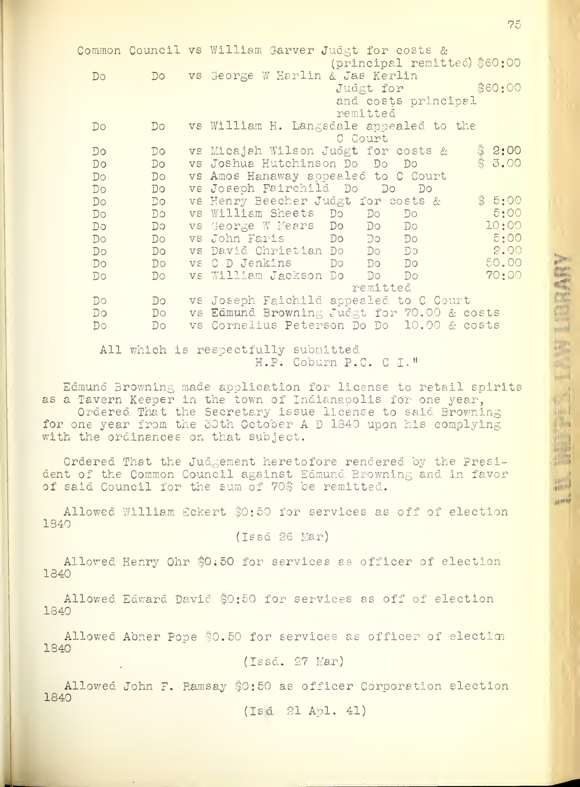|             |    | Common Council vs William Garver Judgt for costs &        |
|-------------|----|-----------------------------------------------------------|
|             |    | (principal remitted) \$60:00                              |
| Do          | DO | vs George W Harlin & Jas Kerlin                           |
|             |    | \$60:00<br>Judgt for                                      |
|             |    | and costs principal                                       |
|             |    | remitted                                                  |
| Do          | Do | vs William H. Langsdale appealed to the                   |
|             |    | C Court                                                   |
| Do          | Do | $\frac{3}{3}$ 2:00<br>vs Micajah Wilson Judgt for costs & |
| Do          | Do | 3.00<br>vs Joshua Hutchinson Do Do Do                     |
| Do          | Do | vs Amos Hanaway appealed to C Court                       |
| Do          | Do | vs Joseph Fairchild Do Do<br>$D^{\circ}$                  |
| Do          | DO | \$5:00<br>vs Henry Beecher Judgt for costs &              |
| Do          | DQ | 5:00<br>vs William Sheets Do Do<br>Do                     |
| DQ          | DQ | 10:00<br>vs George W Mears Do Do Do                       |
| Do          | Do | 5:00<br>vs John Faris Do Do Do                            |
| Do          | Do | vs David Christian Do Do Do<br>2.00                       |
| Do          | Do | 50.00<br>vs C D Jenkins Do Do Do                          |
| $D^{\circ}$ | Do | 70:00<br>vs William Jackson Do<br>$D^{\circ}$<br>Do       |
|             |    | remitted                                                  |
| $D^{\circ}$ | Do | vs Joseph Faichild appealed to C Court                    |
| Do          | Do | vs Edmund Browning Judgt for 70.00 & costs                |
| $D \circ$   | Do | vs Cornelius Peterson Do Do 10.00 & costs                 |

All which is respectfully submitted H.P. Coburn P.C. C I.<sup>H</sup>

Edmund. Browning made application for license to retail spirits as a Tavern Keeper in the town of Indianapolis for one year, Ordered That the Secretary issue license to said Browning for one year from the 30th October A D 1840 upon his complying with the ordinances on that subject.

Ordered That the Judgement heretofore rendered by the President of the Common Council against Edmund. Browning and in favor of said Council for the sum of 70\$ be remitted.

Allowed William Eckert \$0;50 for services as off of election 1340

(Issd 26 Mar)

Allowed Henry Ohr \$0:50 for services as officer of election 1340

Allowed Edward. Davie \$0:50 for services as off of election 1840

Allowed Abner Pope \$0.50 for services as officer of election 1340

(Issd. 27 Mar)

Allowed John F. Ramsay \$0:50 as officer Corooration election 1840

(Isd 21 Apl. 41)

75

jingan se

iii sivili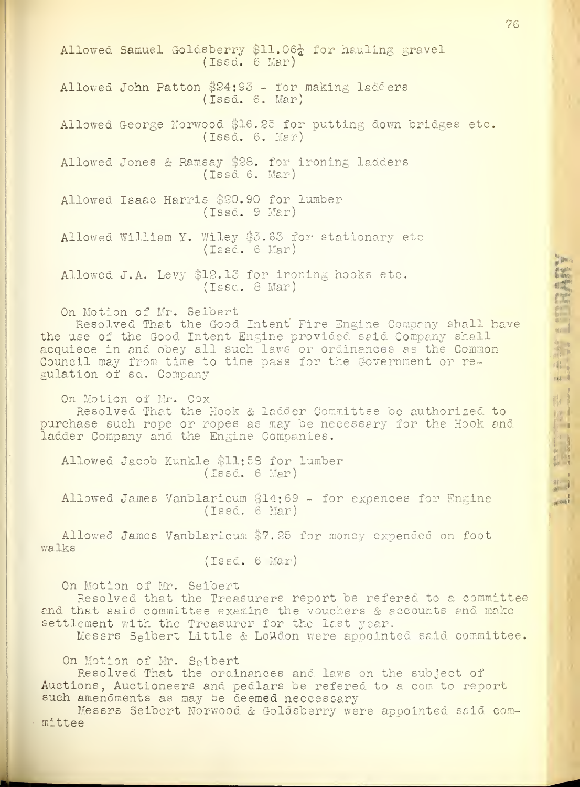Allowed Samuel Goldsberry \$11.06<sup>1</sup> for hauling gravel (Issd. 6 Mar) Allowed John Patton \$24:93 - for making ladders (Issd. 6. Mar) Allowed George Norwood \$16.25 for putting down bridges etc. (Issd. 6. Mar) Allowed Jones & Ramsay \$28. for ironing ladders (Issd 6. Mar) Allowed Isaac Harris \$20.90 for lumber (Issd. 9 Mar) Allowed William Y. Wiley \$5.63 for stationary etc (Issd. 6 Mar) Allowed J. A. Levy \$12.13 for ironing hooks etc. (Issd. 8 Mar) On Motion of Mr. Seibert Resolved That the Good Intent Fire Engine Company shall have the use of the Good Intent Engine provided said Company shall acquiece in and obey all such laws or ordinances as the Common the use of the Good Intent Engine provided seid Company shall<br>acquiece in and obey all such laws or ordinances as the Common<br>Council may from time to time pass for the Government or regulation of sd. Company 1UII and the state of the state of the state of the state of the state of the state of On Motion of Mr. Cox |l! Resolved That the Hook & ladder Committee be authorized to purchase such rope or ropes as may be necessary for the Hook and ladder Company and the Engine Companies. Resolved That the Hook & ladder Committee be authorized to<br>
"chase such rope or ropes as may be necessary for the Hook and<br>
der Company and the Engine Companies.<br>
Allowed Jacob Kunkle \$11:58 for lumber (Issd. 6 Mar) Allowed James Vanblaricum \$14:69 - for expences for Engine (Issd. 6 Mar)

Allowed James Vanblaricum \$7.25 for money expended on foot walks

(Issd. 6 Mar)

On Motion of Mr. Seibert

Resolved that the Treasurers report be refered to a committee and that said committee examine the vouchers & accounts and make settlement with the Treasurer for the last year.

Messrs Seihert Little & LoUdon were appointed said committee.

On Motion of Mr. Seidert

Resolved That the ordinances and laws on the subject of Auctions, Auctioneers and pedlars be refered to a com to report such amendments as may be deemed neccessary

Messrs Seibert Norwood & Goldsberry were appointed said committee

h'mi

 $W = \frac{1}{2}$ i>